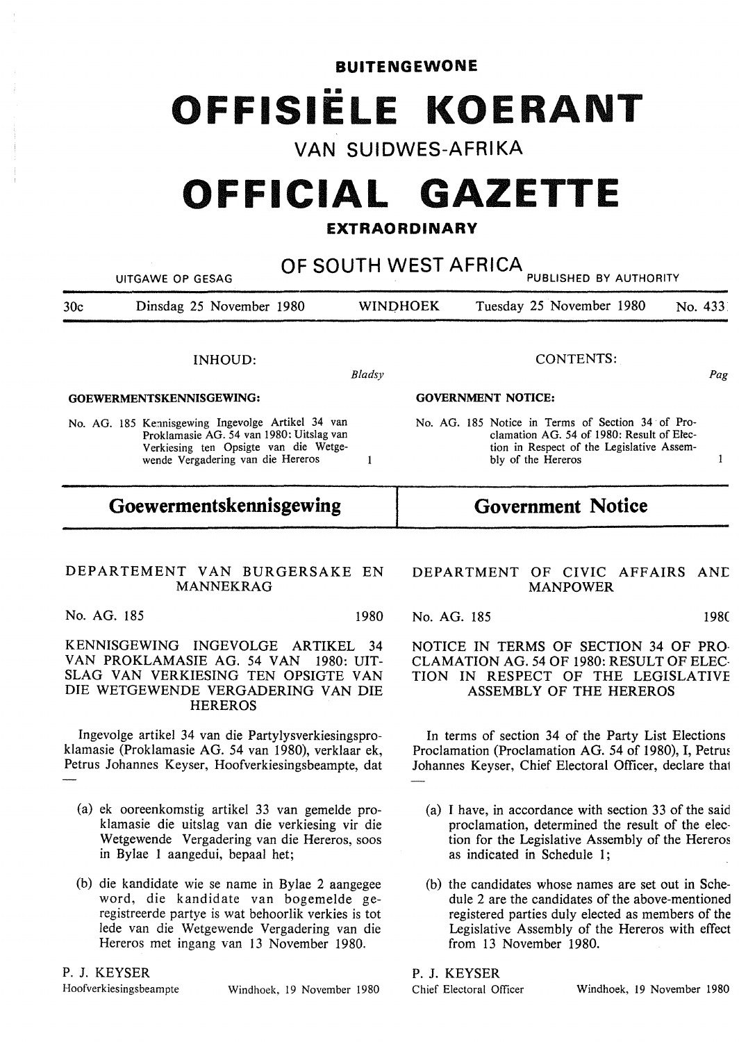**BUITENGEWONE**  ■ II **OFFISIELE KOERANT** 

**VAN SUIDWES-AFRIKA** 

# **OFFICIAL GAZETTE**

# **EXTRAORDINARY**

| <b>UITGAWE OP GESAG</b>                                                                                                                                                     | OF SOUTH WEST AFRICA<br>PUBLISHED BY AUTHORITY                                                                                                                   |
|-----------------------------------------------------------------------------------------------------------------------------------------------------------------------------|------------------------------------------------------------------------------------------------------------------------------------------------------------------|
| 30c<br>Dinsdag 25 November 1980                                                                                                                                             | <b>WINDHOEK</b><br>Tuesday 25 November 1980<br>No. 433                                                                                                           |
| INHOUD:                                                                                                                                                                     | <b>CONTENTS:</b>                                                                                                                                                 |
| Bladsy                                                                                                                                                                      | Pag                                                                                                                                                              |
| GOEWERMENTSKENNISGEWING:                                                                                                                                                    | <b>GOVERNMENT NOTICE:</b>                                                                                                                                        |
| No. AG. 185 Kennisgewing Ingevolge Artikel 34 van                                                                                                                           | No. AG, 185 Notice in Terms of Section 34 of Pro-                                                                                                                |
| Proklamasie AG. 54 van 1980: Uitslag van                                                                                                                                    | clamation AG. 54 of 1980: Result of Elec-                                                                                                                        |
| Verkiesing ten Opsigte van die Wetge-                                                                                                                                       | tion in Respect of the Legislative Assem-                                                                                                                        |
| wende Vergadering van die Hereros                                                                                                                                           | bly of the Hereros                                                                                                                                               |
| $\mathbf{1}$                                                                                                                                                                | 1                                                                                                                                                                |
| Goewermentskennisgewing                                                                                                                                                     | <b>Government Notice</b>                                                                                                                                         |
| DEPARTEMENT VAN BURGERSAKE EN                                                                                                                                               | DEPARTMENT OF CIVIC AFFAIRS AND                                                                                                                                  |
| <b>MANNEKRAG</b>                                                                                                                                                            | <b>MANPOWER</b>                                                                                                                                                  |
| No. AG. 185                                                                                                                                                                 | 1980                                                                                                                                                             |
| 1980                                                                                                                                                                        | No. AG. 185                                                                                                                                                      |
| KENNISGEWING INGEVOLGE ARTIKEL<br>VAN PROKLAMASIE AG. 54 VAN<br>- 1980: UIT-<br>SLAG VAN VERKIESING TEN OPSIGTE VAN<br>DIE WETGEWENDE VERGADERING VAN DIE<br><b>HEREROS</b> | NOTICE IN TERMS OF SECTION 34 OF PRO-<br>34<br>CLAMATION AG. 54 OF 1980: RESULT OF ELEC-<br>TION IN RESPECT OF THE LEGISLATIVE<br><b>ASSEMBLY OF THE HEREROS</b> |
| Ingevolge artikel 34 van die Partylysverkiesingspro-                                                                                                                        | In terms of section 34 of the Party List Elections                                                                                                               |
| klamasie (Proklamasie AG. 54 van 1980), verklaar ek,                                                                                                                        | Proclamation (Proclamation AG. 54 of 1980), I, Petrus                                                                                                            |
| Petrus Johannes Keyser, Hoofverkiesingsbeampte, dat                                                                                                                         | Johannes Keyser, Chief Electoral Officer, declare that                                                                                                           |
| (a) ek ooreenkomstig artikel 33 van gemelde pro-                                                                                                                            | (a) I have, in accordance with section 33 of the said                                                                                                            |
| klamasie die uitslag van die verkiesing vir die                                                                                                                             | proclamation, determined the result of the elec-                                                                                                                 |

(b) the candidates whose names are set out in Schedule 2 are the candidates of the above-mentioned registered parties duly elected as members of the Legislative Assembly of the Hereros with effect from 13 November 1980.

as indicated in Schedule 1;

tion for the Legislative Assembly of the Hereros

P. J. KEYSER

Chief Electoral Officer Windhoek, 19 November 1980

P. J. **KEYSER** 

Hoofverkiesingsbeampte Windhoek, 19 November 1980

- klamasie die uitslag van die verkiesing vir die Wetgewende Vergadering van die Hereros, soos in Bylae 1 aangedui, bepaal het;
- (b) die kandidate wie se name in Bylae 2 aangegee word, die kandidate van bogemelde geregistreerde partye is wat behoorlik verkies is tot lede van die Wetgewende Vergadering van die Hereros met ingang van 13 November 1980.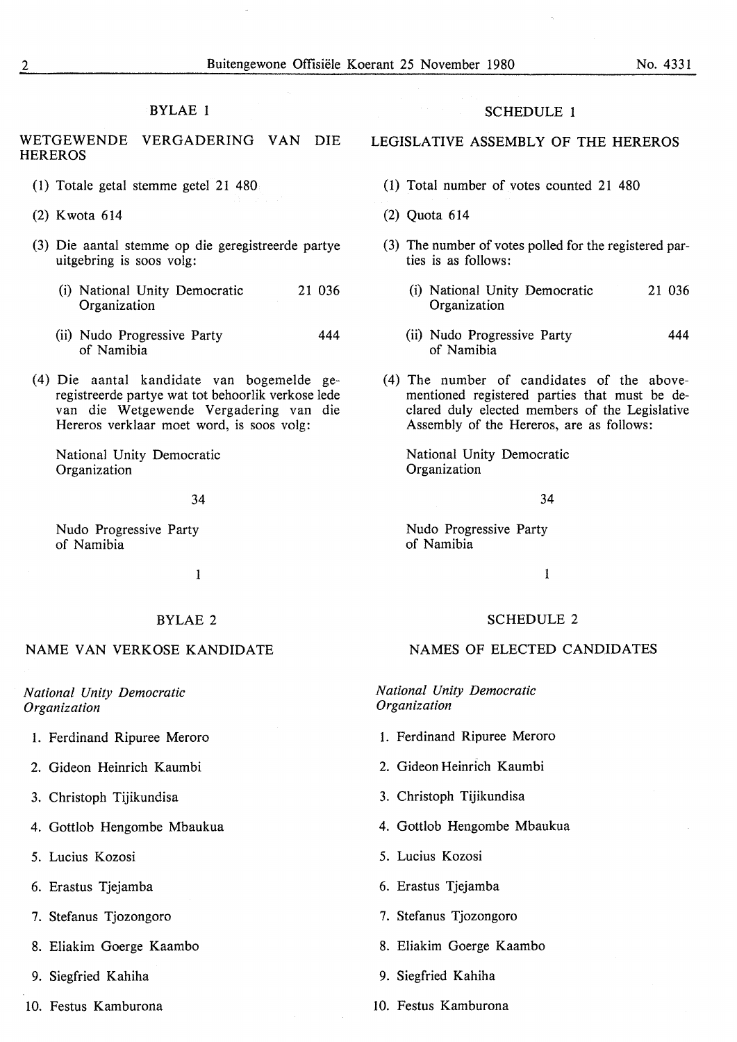### BYLAE 1

WETGEWENDE VERGADERING VAN DIE **HEREROS** 

- ( 1) Totale getal stemme getel 21 480
- (2) Kwota 614
- (3) Die aantal stemme op die geregistreerde partye uitgebring is soos volg:
	- (i) National Unity Democratic Organization 21 036
	- (ii) Nudo Progressive Party of Namibia 444
- (4) Die aantal kandidate van bogemelde geregistreerde partye wat tot behoorlik verkose lede van die Wetgewende Vergadering van die Hereros verklaar moet word, is soos volg:

National Unity Democratic Organization

34

Nudo Progressive Party of Namibia

1

### BYLAE 2

## NAME VAN VERKOSE KANDIDATE

*National Unity Democratic Organization* 

- 1. Ferdinand Ripuree Meroro
- 2. Gideon Heinrich Kaumbi
- 3. Christoph Tijikundisa
- 4. Gottlob Hengombe Mbaukua
- 5. Lucius Kozosi
- 6. Erastus Tjejamba
- 7. Stefanus Tjozongoro
- 8. Eliakim Goerge Kaambo
- 9. Siegfried Kahiha
- 10. Festus Kamburona

## SCHEDULE 1

# LEGISLATIVE ASSEMBLY OF THE HEREROS

- (1) Total number of votes counted 21 480
- (2) Quota 614
- (3) The number of votes polled for the registered parties is as follows:
	- (i) National Unity Democratic Organization 21 036
	- (ii) Nudo Progressive Party of Namibia 444
- (4) The number of candidates of the abovementioned registered parties that must be declared duly elected members of the Legislative Assembly of the Hereros, are as follows:

National Unity Democratic **Organization** 

34

Nudo Progressive Party of Namibia

1

#### SCHEDULE 2

## NAMES OF ELECTED CANDIDATES

*National Unity Democratic Organization* 

- 1. Ferdinand Ripuree Meroro
- 2. Gideon Heinrich Kaumbi
- 3. Christoph Tijikundisa
- 4. Gottlob Hengombe Mbaukua
- 5. Lucius Kozosi
- 6. Erastus Tjejamba
- 7. Stefanus Tjozongoro
- 8. Eliakim Goerge Kaambo
- 9. Siegfried Kahiha
- 10. Festus Kamburona